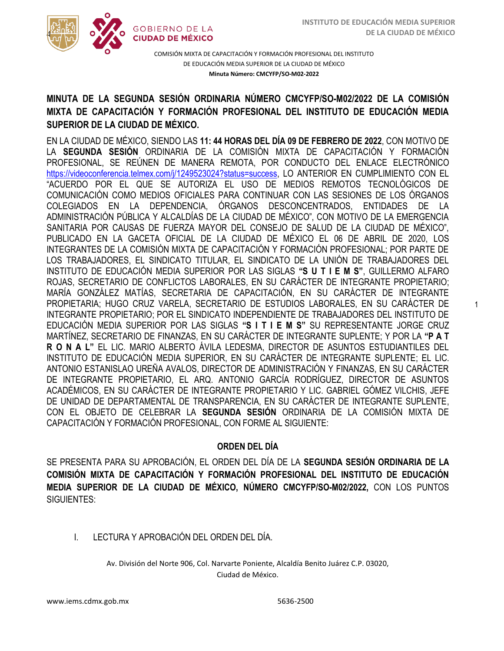1



COMISIÓN MIXTA DE CAPACITACIÓN Y FORMACIÓN PROFESIONAL DEL INSTITUTO DE EDUCACIÓN MEDIA SUPERIOR DE LA CIUDAD DE MÉXICO **Minuta Número: CMCYFP/SO-M02-2022**

## /2020 **MINUTA DE LA SEGUNDA SESIÓN ORDINARIA NÚMERO CMCYFP/SO-M02/2022 DE LA COMISIÓN SUPERIOR DE LA CIUDAD DE MÉXICO. MIXTA DE CAPACITACIÓN Y FORMACIÓN PROFESIONAL DEL INSTITUTO DE EDUCACIÓN MEDIA**

EN LA CIUDAD DE MÉXICO, SIENDO LAS **11: 44 HORAS DEL DÍA 09 DE FEBRERO DE 2022**, CON MOTIVO DE LA **SEGUNDA SESIÓN** ORDINARIA DE LA COMISIÓN MIXTA DE CAPACITACIÓN Y FORMACIÓN PROFESIONAL, SE REÚNEN DE MANERA REMOTA, POR CONDUCTO DEL ENLACE ELECTRÓNICO https://videoconferencia.telmex.com/i/1249523024?status=success, LO ANTERIOR EN CUMPLIMIENTO CON EL "ACUERDO POR EL QUE SE AUTORIZA EL USO DE MEDIOS REMOTOS TECNOLÓGICOS DE COMUNICACIÓN COMO MEDIOS OFICIALES PARA CONTINUAR CON LAS SESIONES DE LOS ÓRGANOS COLEGIADOS EN LA DEPENDENCIA, ÓRGANOS DESCONCENTRADOS, ENTIDADES DE LA ADMINISTRACIÓN PÚBLICA Y ALCALDÍAS DE LA CIUDAD DE MÉXICO", CON MOTIVO DE LA EMERGENCIA SANITARIA POR CAUSAS DE FUERZA MAYOR DEL CONSEJO DE SALUD DE LA CIUDAD DE MÉXICO", PUBLICADO EN LA GACETA OFICIAL DE LA CIUDAD DE MÉXICO EL 06 DE ABRIL DE 2020, LOS INTEGRANTES DE LA COMISIÓN MIXTA DE CAPACITACIÓN Y FORMACIÓN PROFESIONAL; POR PARTE DE LOS TRABAJADORES, EL SINDICATO TITULAR, EL SINDICATO DE LA UNIÓN DE TRABAJADORES DEL INSTITUTO DE EDUCACIÓN MEDIA SUPERIOR POR LAS SIGLAS **"S U T I E M S"**, GUILLERMO ALFARO ROJAS, SECRETARIO DE CONFLICTOS LABORALES, EN SU CARÁCTER DE INTEGRANTE PROPIETARIO; MARÍA GONZÁLEZ MATÍAS, SECRETARIA DE CAPACITACIÓN, EN SU CARÁCTER DE INTEGRANTE PROPIETARIA; HUGO CRUZ VARELA, SECRETARIO DE ESTUDIOS LABORALES, EN SU CARÁCTER DE INTEGRANTE PROPIETARIO; POR EL SINDICATO INDEPENDIENTE DE TRABAJADORES DEL INSTITUTO DE EDUCACIÓN MEDIA SUPERIOR POR LAS SIGLAS **"S I T I E M S"** SU REPRESENTANTE JORGE CRUZ MARTÍNEZ, SECRETARIO DE FINANZAS, EN SU CARÁCTER DE INTEGRANTE SUPLENTE; Y POR LA **"P A T R O N A L"** EL LIC. MARIO ALBERTO ÁVILA LEDESMA, DIRECTOR DE ASUNTOS ESTUDIANTILES DEL INSTITUTO DE EDUCACIÓN MEDIA SUPERIOR, EN SU CARÁCTER DE INTEGRANTE SUPLENTE; EL LIC. ANTONIO ESTANISLAO UREÑA AVALOS, DIRECTOR DE ADMINISTRACIÓN Y FINANZAS, EN SU CARÁCTER DE INTEGRANTE PROPIETARIO, EL ARQ. ANTONIO GARCÍA RODRÍGUEZ, DIRECTOR DE ASUNTOS ACADÉMICOS, EN SU CARÁCTER DE INTEGRANTE PROPIETARIO Y LIC. GABRIEL GÓMEZ VILCHIS, JEFE DE UNIDAD DE DEPARTAMENTAL DE TRANSPARENCIA, EN SU CARÁCTER DE INTEGRANTE SUPLENTE, CON EL OBJETO DE CELEBRAR LA **SEGUNDA SESIÓN** ORDINARIA DE LA COMISIÓN MIXTA DE CAPACITACIÓN Y FORMACIÓN PROFESIONAL, CON FORME AL SIGUIENTE:

## **ORDEN DEL DÍA**

SE PRESENTA PARA SU APROBACIÓN, EL ORDEN DEL DÍA DE LA **SEGUNDA SESIÓN ORDINARIA DE LA COMISIÓN MIXTA DE CAPACITACIÓN Y FORMACIÓN PROFESIONAL DEL INSTITUTO DE EDUCACIÓN MEDIA SUPERIOR DE LA CIUDAD DE MÉXICO, NÚMERO CMCYFP/SO-M02/2022,** CON LOS PUNTOS SIGUIENTES:

## I. LECTURA Y APROBACIÓN DEL ORDEN DEL DÍA.

Av. División del Norte 906, Col. Narvarte Poniente, Alcaldía Benito Juárez C.P. 03020, Ciudad de México.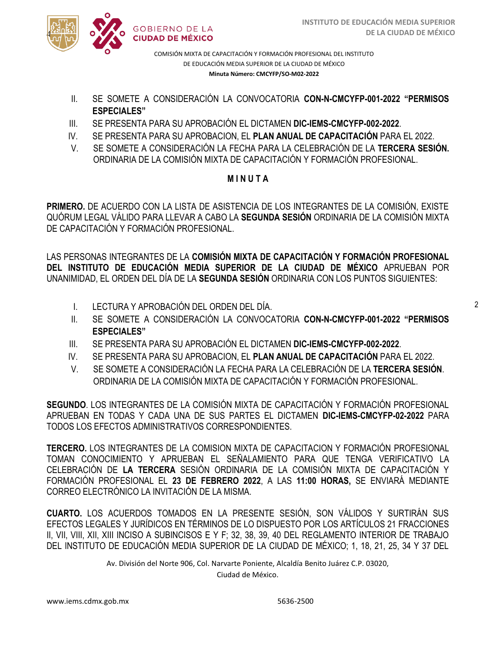

COMISIÓN MIXTA DE CAPACITACIÓN Y FORMACIÓN PROFESIONAL DEL INSTITUTO DE EDUCACIÓN MEDIA SUPERIOR DE LA CIUDAD DE MÉXICO **Minuta Número: CMCYFP/SO-M02-2022**

- /2020 II. SE SOMETE A CONSIDERACIÓN LA CONVOCATORIA **CON-N-CMCYFP-001-2022 "PERMISOS ESPECIALES"**
- III. SE PRESENTA PARA SU APROBACIÓN EL DICTAMEN **DIC-IEMS-CMCYFP-002-2022**.
- IV. SE PRESENTA PARA SU APROBACION, EL **PLAN ANUAL DE CAPACITACIÓN** PARA EL 2022.
- V. SE SOMETE A CONSIDERACIÓN LA FECHA PARA LA CELEBRACIÓN DE LA **TERCERA SESIÓN.** ORDINARIA DE LA COMISIÓN MIXTA DE CAPACITACIÓN Y FORMACIÓN PROFESIONAL.

## **M I N U T A**

**PRIMERO.** DE ACUERDO CON LA LISTA DE ASISTENCIA DE LOS INTEGRANTES DE LA COMISIÓN, EXISTE QUÓRUM LEGAL VÁLIDO PARA LLEVAR A CABO LA **SEGUNDA SESIÓN** ORDINARIA DE LA COMISIÓN MIXTA DE CAPACITACIÓN Y FORMACIÓN PROFESIONAL.

LAS PERSONAS INTEGRANTES DE LA **COMISIÓN MIXTA DE CAPACITACIÓN Y FORMACIÓN PROFESIONAL DEL INSTITUTO DE EDUCACIÓN MEDIA SUPERIOR DE LA CIUDAD DE MÉXICO** APRUEBAN POR UNANIMIDAD, EL ORDEN DEL DÍA DE LA **SEGUNDA SESIÓN** ORDINARIA CON LOS PUNTOS SIGUIENTES:

- I. LECTURA Y APROBACIÓN DEL ORDEN DEL DÍA.
- II. SE SOMETE A CONSIDERACIÓN LA CONVOCATORIA **CON-N-CMCYFP-001-2022 "PERMISOS ESPECIALES"**
- III. SE PRESENTA PARA SU APROBACIÓN EL DICTAMEN **DIC-IEMS-CMCYFP-002-2022**.
- IV. SE PRESENTA PARA SU APROBACION, EL **PLAN ANUAL DE CAPACITACIÓN** PARA EL 2022.
- V. SE SOMETE A CONSIDERACIÓN LA FECHA PARA LA CELEBRACIÓN DE LA **TERCERA SESIÓN**. ORDINARIA DE LA COMISIÓN MIXTA DE CAPACITACIÓN Y FORMACIÓN PROFESIONAL.

**SEGUNDO**. LOS INTEGRANTES DE LA COMISIÓN MIXTA DE CAPACITACIÓN Y FORMACIÓN PROFESIONAL APRUEBAN EN TODAS Y CADA UNA DE SUS PARTES EL DICTAMEN **DIC-IEMS-CMCYFP-02-2022** PARA TODOS LOS EFECTOS ADMINISTRATIVOS CORRESPONDIENTES.

**TERCERO.** LOS INTEGRANTES DE LA COMISION MIXTA DE CAPACITACION Y FORMACIÓN PROFESIONAL TOMAN CONOCIMIENTO Y APRUEBAN EL SEÑALAMIENTO PARA QUE TENGA VERIFICATIVO LA CELEBRACIÓN DE **LA TERCERA** SESIÓN ORDINARIA DE LA COMISIÓN MIXTA DE CAPACITACIÓN Y FORMACIÓN PROFESIONAL EL **23 DE FEBRERO 2022**, A LAS **11:00 HORAS,** SE ENVIARÁ MEDIANTE CORREO ELECTRÓNICO LA INVITACIÓN DE LA MISMA.

**CUARTO.** LOS ACUERDOS TOMADOS EN LA PRESENTE SESIÓN, SON VÁLIDOS Y SURTIRÁN SUS EFECTOS LEGALES Y JURÍDICOS EN TÉRMINOS DE LO DISPUESTO POR LOS ARTÍCULOS 21 FRACCIONES II, VII, VIII, XII, XIII INCISO A SUBINCISOS E Y F; 32, 38, 39, 40 DEL REGLAMENTO INTERIOR DE TRABAJO DEL INSTITUTO DE EDUCACIÓN MEDIA SUPERIOR DE LA CIUDAD DE MÉXICO; 1, 18, 21, 25, 34 Y 37 DEL

Av. División del Norte 906, Col. Narvarte Poniente, Alcaldía Benito Juárez C.P. 03020,

Ciudad de México.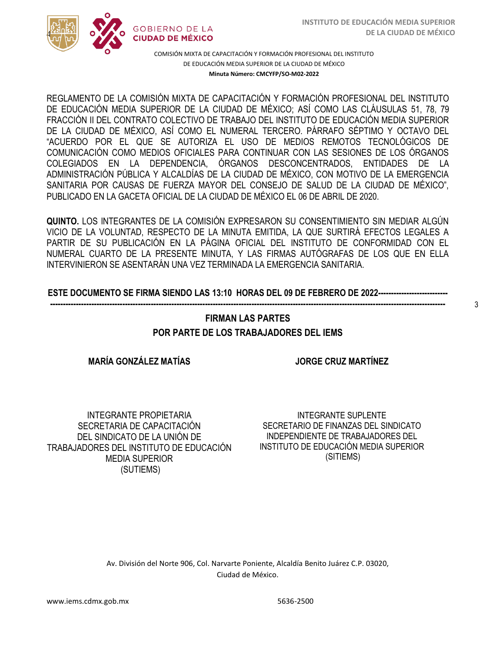

COMISIÓN MIXTA DE CAPACITACIÓN Y FORMACIÓN PROFESIONAL DEL INSTITUTO DE EDUCACIÓN MEDIA SUPERIOR DE LA CIUDAD DE MÉXICO **Minuta Número: CMCYFP/SO-M02-2022**

/2020 DE EDUCACIÓN MEDIA SUPERIOR DE LA CIUDAD DE MÉXICO; ASÍ COMO LAS CLÁUSULAS 51, 78, 79  FRACCIÓN II DEL CONTRATO COLECTIVO DE TRABAJO DEL INSTITUTO DE EDUCACIÓN MEDIA SUPERIOR REGLAMENTO DE LA COMISIÓN MIXTA DE CAPACITACIÓN Y FORMACIÓN PROFESIONAL DEL INSTITUTO DE LA CIUDAD DE MÉXICO, ASÍ COMO EL NUMERAL TERCERO. PÁRRAFO SÉPTIMO Y OCTAVO DEL "ACUERDO POR EL QUE SE AUTORIZA EL USO DE MEDIOS REMOTOS TECNOLÓGICOS DE COMUNICACIÓN COMO MEDIOS OFICIALES PARA CONTINUAR CON LAS SESIONES DE LOS ÓRGANOS COLEGIADOS EN LA DEPENDENCIA, ÓRGANOS DESCONCENTRADOS, ENTIDADES DE LA ADMINISTRACIÓN PÚBLICA Y ALCALDÍAS DE LA CIUDAD DE MÉXICO, CON MOTIVO DE LA EMERGENCIA SANITARIA POR CAUSAS DE FUERZA MAYOR DEL CONSEJO DE SALUD DE LA CIUDAD DE MÉXICO", PUBLICADO EN LA GACETA OFICIAL DE LA CIUDAD DE MÉXICO EL 06 DE ABRIL DE 2020.

**QUINTO.** LOS INTEGRANTES DE LA COMISIÓN EXPRESARON SU CONSENTIMIENTO SIN MEDIAR ALGÚN VICIO DE LA VOLUNTAD, RESPECTO DE LA MINUTA EMITIDA, LA QUE SURTIRÁ EFECTOS LEGALES A PARTIR DE SU PUBLICACIÓN EN LA PÁGINA OFICIAL DEL INSTITUTO DE CONFORMIDAD CON EL NUMERAL CUARTO DE LA PRESENTE MINUTA, Y LAS FIRMAS AUTÓGRAFAS DE LOS QUE EN ELLA INTERVINIERON SE ASENTARÁN UNA VEZ TERMINADA LA EMERGENCIA SANITARIA.

**ESTE DOCUMENTO SE FIRMA SIENDO LAS 13:10 HORAS DEL 09 DE FEBRERO DE 2022--------------------------- ---------------------------------------------------------------------------------------------------------------------------------------------------------**

# **FIRMAN LAS PARTES POR PARTE DE LOS TRABAJADORES DEL IEMS**

## **MARÍA GONZÁLEZ MATÍAS**

**JORGE CRUZ MARTÍNEZ**

3

INTEGRANTE PROPIETARIA SECRETARIA DE CAPACITACIÓN DEL SINDICATO DE LA UNIÓN DE TRABAJADORES DEL INSTITUTO DE EDUCACIÓN MEDIA SUPERIOR (SUTIEMS)

INTEGRANTE SUPLENTE SECRETARIO DE FINANZAS DEL SINDICATO INDEPENDIENTE DE TRABAJADORES DEL INSTITUTO DE EDUCACIÓN MEDIA SUPERIOR (SITIEMS)

Av. División del Norte 906, Col. Narvarte Poniente, Alcaldía Benito Juárez C.P. 03020, Ciudad de México.